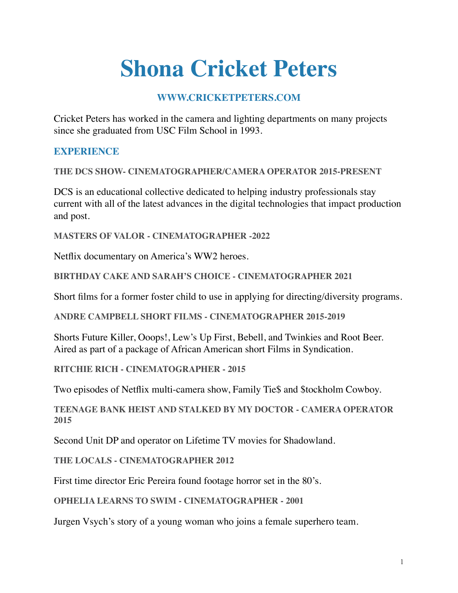# **Shona Cricket Peters**

# **WWW.CRICKETPETERS.COM**

Cricket Peters has worked in the camera and lighting departments on many projects since she graduated from USC Film School in 1993.

## **EXPERIENCE**

**THE DCS SHOW- CINEMATOGRAPHER/CAMERA OPERATOR 2015-PRESENT** 

DCS is an educational collective dedicated to helping industry professionals stay current with all of the latest advances in the digital technologies that impact production and post.

**MASTERS OF VALOR - CINEMATOGRAPHER -2022** 

Netflix documentary on America's WW2 heroes.

**BIRTHDAY CAKE AND SARAH'S CHOICE - CINEMATOGRAPHER 2021** 

Short films for a former foster child to use in applying for directing/diversity programs.

**ANDRE CAMPBELL SHORT FILMS - CINEMATOGRAPHER 2015-2019** 

Shorts Future Killer, Ooops!, Lew's Up First, Bebell, and Twinkies and Root Beer. Aired as part of a package of African American short Films in Syndication.

**RITCHIE RICH - CINEMATOGRAPHER - 2015** 

Two episodes of Netflix multi-camera show, Family Tie\$ and \$tockholm Cowboy.

**TEENAGE BANK HEIST AND STALKED BY MY DOCTOR - CAMERA OPERATOR 2015** 

Second Unit DP and operator on Lifetime TV movies for Shadowland.

**THE LOCALS - CINEMATOGRAPHER 2012** 

First time director Eric Pereira found footage horror set in the 80's.

**OPHELIA LEARNS TO SWIM - CINEMATOGRAPHER - 2001** 

Jurgen Vsych's story of a young woman who joins a female superhero team.